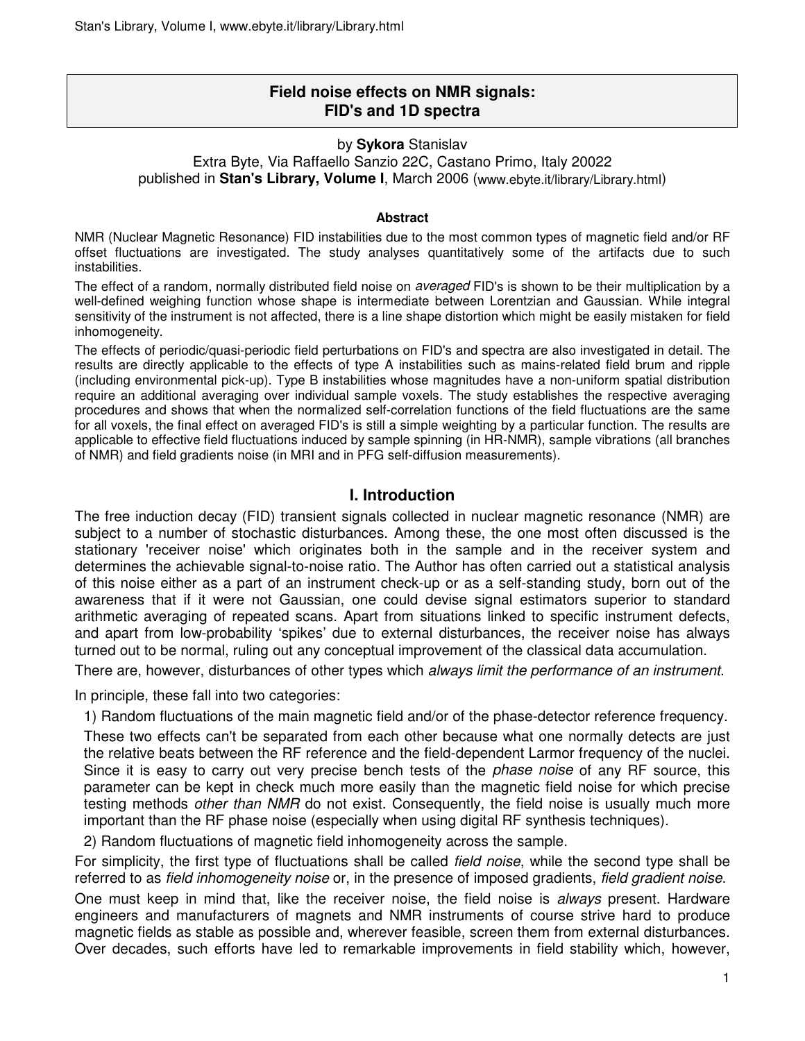# **Field noise effects on NMR signals: FID's and 1D spectra**

#### by **Sykora** Stanislav Extra Byte, Via Raffaello Sanzio 22C, Castano Primo, Italy 20022 published in **Stan's Library, Volume I**, March 2006 (www.ebyte.it/library/Library.html)

#### **Abstract**

NMR (Nuclear Magnetic Resonance) FID instabilities due to the most common types of magnetic field and/or RF offset fluctuations are investigated. The study analyses quantitatively some of the artifacts due to such instabilities.

The effect of a random, normally distributed field noise on *averaged* FID's is shown to be their multiplication by a well-defined weighing function whose shape is intermediate between Lorentzian and Gaussian. While integral sensitivity of the instrument is not affected, there is a line shape distortion which might be easily mistaken for field inhomogeneity.

The effects of periodic/quasi-periodic field perturbations on FID's and spectra are also investigated in detail. The results are directly applicable to the effects of type A instabilities such as mains-related field brum and ripple (including environmental pick-up). Type B instabilities whose magnitudes have a non-uniform spatial distribution require an additional averaging over individual sample voxels. The study establishes the respective averaging procedures and shows that when the normalized self-correlation functions of the field fluctuations are the same for all voxels, the final effect on averaged FID's is still a simple weighting by a particular function. The results are applicable to effective field fluctuations induced by sample spinning (in HR-NMR), sample vibrations (all branches of NMR) and field gradients noise (in MRI and in PFG self-diffusion measurements).

# **I. Introduction**

The free induction decay (FID) transient signals collected in nuclear magnetic resonance (NMR) are subject to a number of stochastic disturbances. Among these, the one most often discussed is the stationary 'receiver noise' which originates both in the sample and in the receiver system and determines the achievable signal-to-noise ratio. The Author has often carried out a statistical analysis of this noise either as a part of an instrument check-up or as a self-standing study, born out of the awareness that if it were not Gaussian, one could devise signal estimators superior to standard arithmetic averaging of repeated scans. Apart from situations linked to specific instrument defects, and apart from low-probability 'spikes' due to external disturbances, the receiver noise has always turned out to be normal, ruling out any conceptual improvement of the classical data accumulation.

There are, however, disturbances of other types which *always limit the performance of an instrument*.

In principle, these fall into two categories:

1) Random fluctuations of the main magnetic field and/or of the phase-detector reference frequency.

These two effects can't be separated from each other because what one normally detects are just the relative beats between the RF reference and the field-dependent Larmor frequency of the nuclei. Since it is easy to carry out very precise bench tests of the *phase noise* of any RF source, this parameter can be kept in check much more easily than the magnetic field noise for which precise testing methods other than NMR do not exist. Consequently, the field noise is usually much more important than the RF phase noise (especially when using digital RF synthesis techniques).

2) Random fluctuations of magnetic field inhomogeneity across the sample.

For simplicity, the first type of fluctuations shall be called *field noise*, while the second type shall be referred to as *field inhomogeneity noise* or, in the presence of imposed gradients, *field gradient noise*.

One must keep in mind that, like the receiver noise, the field noise is *always* present. Hardware engineers and manufacturers of magnets and NMR instruments of course strive hard to produce magnetic fields as stable as possible and, wherever feasible, screen them from external disturbances. Over decades, such efforts have led to remarkable improvements in field stability which, however,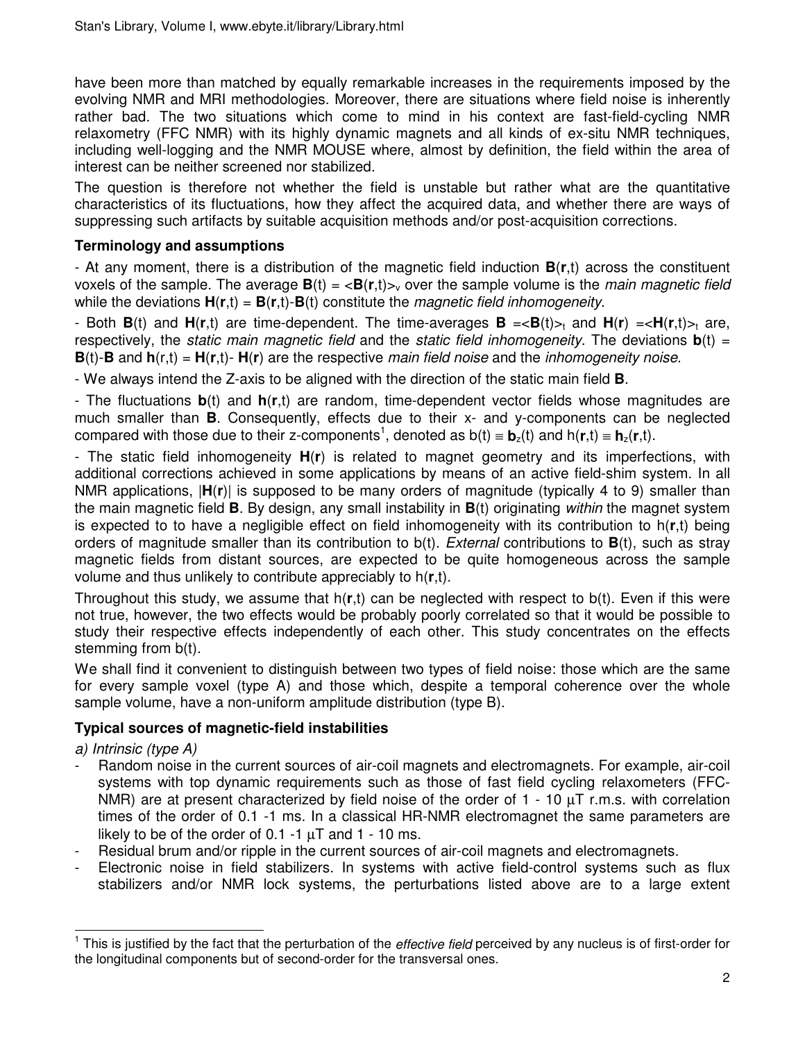have been more than matched by equally remarkable increases in the requirements imposed by the evolving NMR and MRI methodologies. Moreover, there are situations where field noise is inherently rather bad. The two situations which come to mind in his context are fast-field-cycling NMR relaxometry (FFC NMR) with its highly dynamic magnets and all kinds of ex-situ NMR techniques, including well-logging and the NMR MOUSE where, almost by definition, the field within the area of interest can be neither screened nor stabilized.

The question is therefore not whether the field is unstable but rather what are the quantitative characteristics of its fluctuations, how they affect the acquired data, and whether there are ways of suppressing such artifacts by suitable acquisition methods and/or post-acquisition corrections.

# **Terminology and assumptions**

- At any moment, there is a distribution of the magnetic field induction **B**(**r**,t) across the constituent voxels of the sample. The average  $\mathbf{B}(t) = \langle \mathbf{B}(r,t) \rangle$  over the sample volume is the *main magnetic field* while the deviations  $H(r,t) = B(r,t)$ -B(t) constitute the *magnetic field inhomogeneity*.

- Both  $B(t)$  and  $H(r,t)$  are time-dependent. The time-averages  $B = \langle B(t) \rangle_t$  and  $H(r) = \langle H(r,t) \rangle_t$  are, respectively, the *static main magnetic field* and the *static field inhomogeneity*. The deviations  $\mathbf{b}(t) =$  $B(t)$ -**B** and  $h(r,t) = H(r,t)$ -  $H(r)$  are the respective main field noise and the inhomogeneity noise.

- We always intend the Z-axis to be aligned with the direction of the static main field **B**.

- The fluctuations **b**(t) and **h**(**r**,t) are random, time-dependent vector fields whose magnitudes are much smaller than **B**. Consequently, effects due to their x- and y-components can be neglected compared with those due to their z-components<sup>1</sup>, denoted as  $b(t) \equiv b_z(t)$  and  $h(r,t) \equiv h_z(r,t)$ .

- The static field inhomogeneity **H**(**r**) is related to magnet geometry and its imperfections, with additional corrections achieved in some applications by means of an active field-shim system. In all NMR applications, |**H**(**r**)| is supposed to be many orders of magnitude (typically 4 to 9) smaller than the main magnetic field **B**. By design, any small instability in **B**(t) originating within the magnet system is expected to to have a negligible effect on field inhomogeneity with its contribution to h(**r**,t) being orders of magnitude smaller than its contribution to b(t). External contributions to **B**(t), such as stray magnetic fields from distant sources, are expected to be quite homogeneous across the sample volume and thus unlikely to contribute appreciably to h(**r**,t).

Throughout this study, we assume that h(**r**,t) can be neglected with respect to b(t). Even if this were not true, however, the two effects would be probably poorly correlated so that it would be possible to study their respective effects independently of each other. This study concentrates on the effects stemming from b(t).

We shall find it convenient to distinguish between two types of field noise: those which are the same for every sample voxel (type A) and those which, despite a temporal coherence over the whole sample volume, have a non-uniform amplitude distribution (type B).

# **Typical sources of magnetic-field instabilities**

a) Intrinsic (type A)

- Random noise in the current sources of air-coil magnets and electromagnets. For example, air-coil systems with top dynamic requirements such as those of fast field cycling relaxometers (FFC-NMR) are at present characterized by field noise of the order of 1 - 10 µT r.m.s. with correlation times of the order of 0.1 -1 ms. In a classical HR-NMR electromagnet the same parameters are likely to be of the order of  $0.1 - 1 \mu T$  and  $1 - 10 \text{ ms}$ .
- Residual brum and/or ripple in the current sources of air-coil magnets and electromagnets.
- Electronic noise in field stabilizers. In systems with active field-control systems such as flux stabilizers and/or NMR lock systems, the perturbations listed above are to a large extent

This is justified by the fact that the perturbation of the *effective field* perceived by any nucleus is of first-order for<br><sup>1</sup> This is justified by the fact that the perturbation of the *effective field* perceived by any the longitudinal components but of second-order for the transversal ones.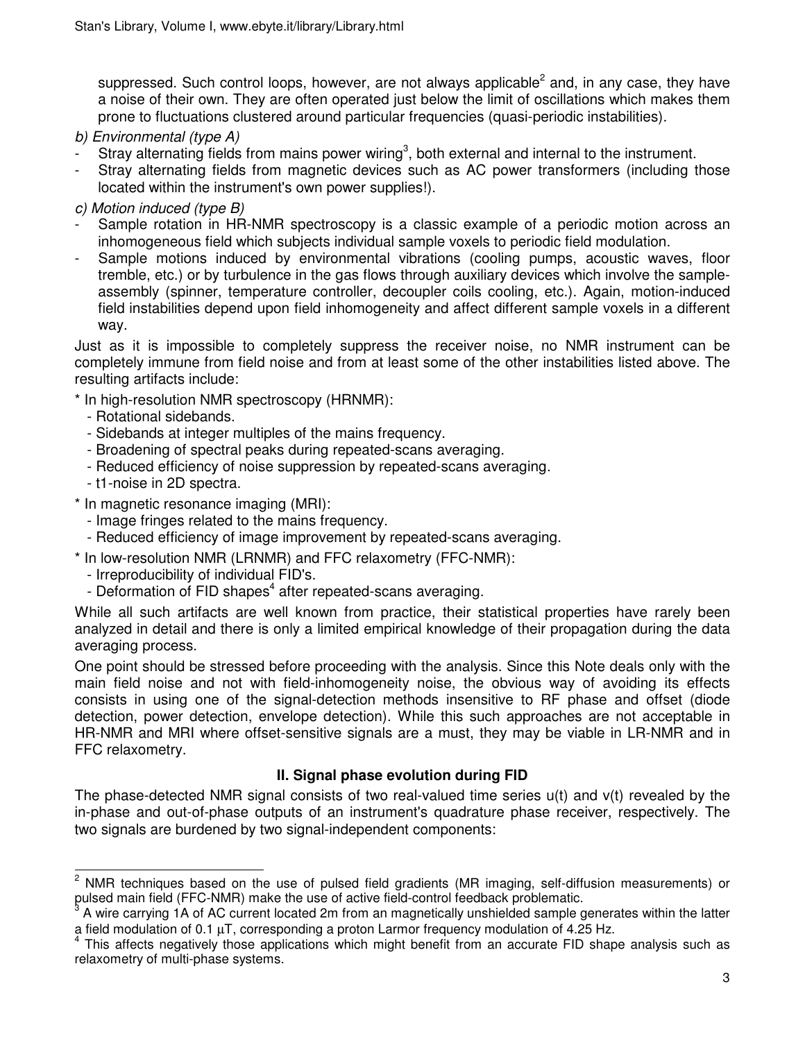suppressed. Such control loops, however, are not always applicable<sup>2</sup> and, in any case, they have a noise of their own. They are often operated just below the limit of oscillations which makes them prone to fluctuations clustered around particular frequencies (quasi-periodic instabilities).

- b) Environmental (type A)
- Stray alternating fields from mains power wiring<sup>3</sup>, both external and internal to the instrument.
- Stray alternating fields from magnetic devices such as AC power transformers (including those located within the instrument's own power supplies!).
- c) Motion induced (type B)
- Sample rotation in HR-NMR spectroscopy is a classic example of a periodic motion across an inhomogeneous field which subjects individual sample voxels to periodic field modulation.
- Sample motions induced by environmental vibrations (cooling pumps, acoustic waves, floor tremble, etc.) or by turbulence in the gas flows through auxiliary devices which involve the sampleassembly (spinner, temperature controller, decoupler coils cooling, etc.). Again, motion-induced field instabilities depend upon field inhomogeneity and affect different sample voxels in a different way.

Just as it is impossible to completely suppress the receiver noise, no NMR instrument can be completely immune from field noise and from at least some of the other instabilities listed above. The resulting artifacts include:

- \* In high-resolution NMR spectroscopy (HRNMR):
	- Rotational sidebands.
	- Sidebands at integer multiples of the mains frequency.
	- Broadening of spectral peaks during repeated-scans averaging.
	- Reduced efficiency of noise suppression by repeated-scans averaging.
	- t1-noise in 2D spectra.
- \* In magnetic resonance imaging (MRI):
	- Image fringes related to the mains frequency.
	- Reduced efficiency of image improvement by repeated-scans averaging.
- \* In low-resolution NMR (LRNMR) and FFC relaxometry (FFC-NMR):
	- Irreproducibility of individual FID's.
- Deformation of FID shapes<sup>4</sup> after repeated-scans averaging.

While all such artifacts are well known from practice, their statistical properties have rarely been analyzed in detail and there is only a limited empirical knowledge of their propagation during the data averaging process.

One point should be stressed before proceeding with the analysis. Since this Note deals only with the main field noise and not with field-inhomogeneity noise, the obvious way of avoiding its effects consists in using one of the signal-detection methods insensitive to RF phase and offset (diode detection, power detection, envelope detection). While this such approaches are not acceptable in HR-NMR and MRI where offset-sensitive signals are a must, they may be viable in LR-NMR and in FFC relaxometry.

# **II. Signal phase evolution during FID**

The phase-detected NMR signal consists of two real-valued time series u(t) and v(t) revealed by the in-phase and out-of-phase outputs of an instrument's quadrature phase receiver, respectively. The two signals are burdened by two signal-independent components:

l  $2$  NMR techniques based on the use of pulsed field gradients (MR imaging, self-diffusion measurements) or pulsed main field (FFC-NMR) make the use of active field-control feedback problematic.<br>3. A wise or trips 1.A of AC oursett loosted 2m from an magnetically upphielded complex

A wire carrying 1A of AC current located 2m from an magnetically unshielded sample generates within the latter a field modulation of 0.1 µT, corresponding a proton Larmor frequency modulation of 4.25 Hz.

<sup>&</sup>lt;sup>4</sup> This affects negatively those applications which might benefit from an accurate FID shape analysis such as relaxometry of multi-phase systems.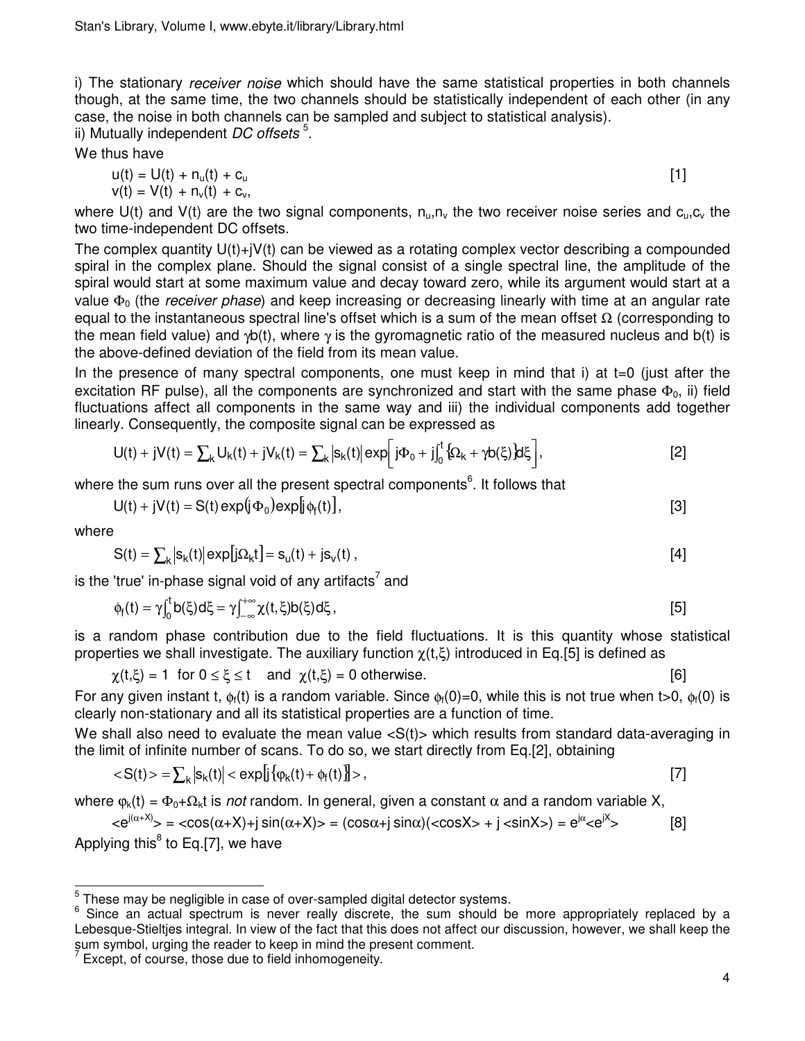i) The stationary *receiver noise* which should have the same statistical properties in both channels though, at the same time, the two channels should be statistically independent of each other (in any case, the noise in both channels can be sampled and subject to statistical analysis). ii) Mutually independent *DC offsets*<sup>5</sup>.

We thus have

$$
u(t) = U(t) + nu(t) + cu
$$
  
\n
$$
v(t) = V(t) + nv(t) + cv,
$$
 [1]

where U(t) and V(t) are the two signal components,  $n_{u_1}n_{v_2}$  the two receiver noise series and  $c_{u_1}c_{v_2}$  the two time-independent DC offsets.

The complex quantity U(t)+jV(t) can be viewed as a rotating complex vector describing a compounded spiral in the complex plane. Should the signal consist of a single spectral line, the amplitude of the spiral would start at some maximum value and decay toward zero, while its argument would start at a value  $\Phi_0$  (the *receiver phase*) and keep increasing or decreasing linearly with time at an angular rate equal to the instantaneous spectral line's offset which is a sum of the mean offset  $\Omega$  (corresponding to the mean field value) and  $\gamma b(t)$ , where  $\gamma$  is the gyromagnetic ratio of the measured nucleus and  $b(t)$  is the above-defined deviation of the field from its mean value.

In the presence of many spectral components, one must keep in mind that i) at  $t=0$  (just after the excitation RF pulse), all the components are synchronized and start with the same phase  $\Phi_0$ , ii) field fluctuations affect all components in the same way and iii) the individual components add together linearly. Consequently, the composite signal can be expressed as

$$
U(t) + jV(t) = \sum_{k} U_{k}(t) + jV_{k}(t) = \sum_{k} |s_{k}(t)| \exp\left[j\Phi_{0} + j\int_{0}^{t} \{\Omega_{k} + \gamma b(\xi)\} d\xi\right],
$$
 [2]

where the sum runs over all the present spectral components<sup>6</sup>. It follows that

$$
U(t) + jV(t) = S(t) \exp(j\Phi_0) \exp[i\phi_f(t)],
$$
\n[3]

where

$$
S(t) = \sum_{k} |s_k(t)| \exp[j\Omega_k t] = s_u(t) + j s_v(t) , \qquad [4]
$$

is the 'true' in-phase signal void of any artifacts<sup>7</sup> and

$$
\varphi_f(t) = \gamma \int_0^t b(\xi) d\xi = \gamma \int_{-\infty}^{+\infty} \chi(t,\xi) b(\xi) d\xi,
$$

is a random phase contribution due to the field fluctuations. It is this quantity whose statistical properties we shall investigate. The auxiliary function  $\chi(t,\xi)$  introduced in Eq.[5] is defined as

$$
\chi(t,\xi) = 1 \text{ for } 0 \le \xi \le t \quad \text{and } \chi(t,\xi) = 0 \text{ otherwise.}
$$
 [6]

For any given instant t,  $\phi_f(t)$  is a random variable. Since  $\phi_f(0)=0$ , while this is not true when t>0,  $\phi_f(0)$  is clearly non-stationary and all its statistical properties are a function of time.

We shall also need to evaluate the mean value  $< S(t)$  which results from standard data-averaging in the limit of infinite number of scans. To do so, we start directly from Eq.[2], obtaining

$$
\langle S(t) \rangle = \sum_{k} |S_k(t)| \langle \exp[i\{\varphi_k(t) + \varphi_f(t)\}\rangle), \qquad [7]
$$

where  $\varphi_k(t) = \Phi_0 + \Omega_k t$  is *not* random. In general, given a constant  $\alpha$  and a random variable X,  $\langle e^{j(\alpha+X)} \rangle$  =  $\langle cos(\alpha+X)+j sin(\alpha+X) \rangle$  =  $(cos\alpha+ j sin\alpha)(\langle cosX \rangle + j \langle sinX \rangle) = e^{j\alpha} \langle e^{jX} \rangle$  $[8]$ Applying this<sup>8</sup> to Eq.[7], we have

 5 These may be negligible in case of over-sampled digital detector systems.

<sup>6</sup> Since an actual spectrum is never really discrete, the sum should be more appropriately replaced by a Lebesque-Stieltjes integral. In view of the fact that this does not affect our discussion, however, we shall keep the sum symbol, urging the reader to keep in mind the present comment.

 $7$  Except, of course, those due to field inhomogeneity.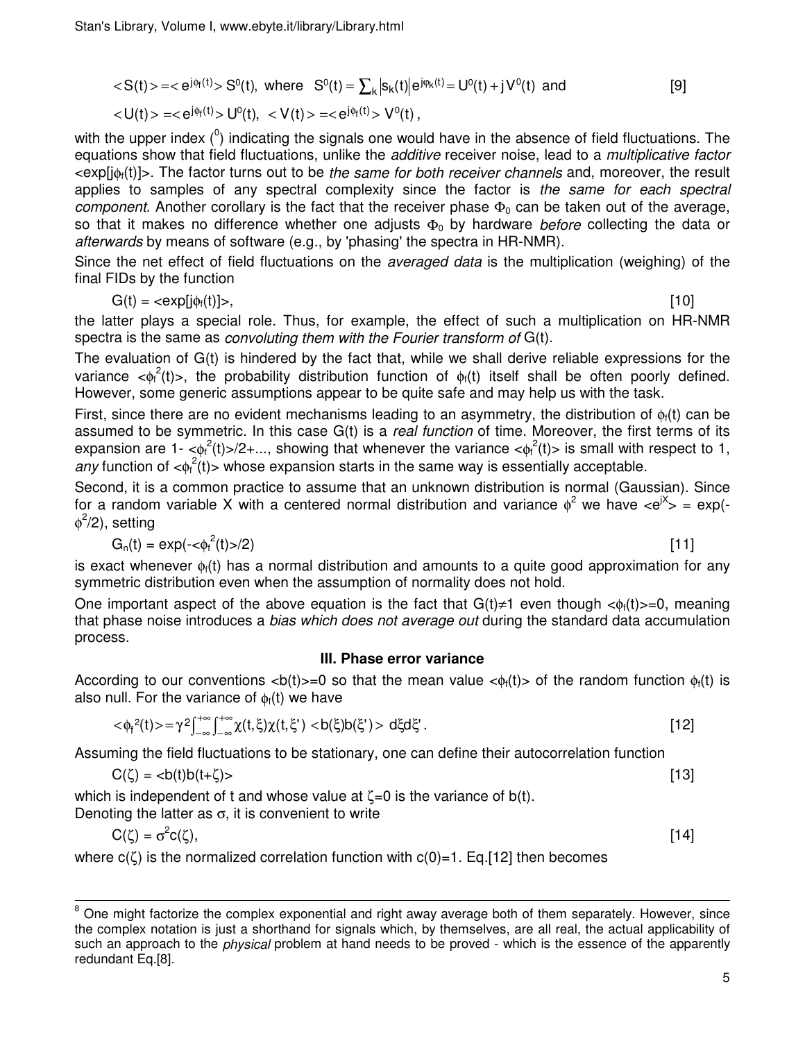$$
\langle S(t) \rangle = \langle e^{j\phi_f(t)} \rangle S^0(t), \text{ where } S^0(t) = \sum_{k} |s_k(t)| e^{j\phi_k(t)} = U^0(t) + jV^0(t) \text{ and } [9]
$$
  

$$
\langle U(t) \rangle = \langle e^{j\phi_f(t)} \rangle U^0(t), \langle V(t) \rangle = \langle e^{j\phi_f(t)} \rangle V^0(t),
$$

with the upper index  $(^0)$  indicating the signals one would have in the absence of field fluctuations. The equations show that field fluctuations, unlike the *additive* receiver noise, lead to a *multiplicative factor* <exp[jφf(t)]>. The factor turns out to be the same for both receiver channels and, moreover, the result applies to samples of any spectral complexity since the factor is the same for each spectral component. Another corollary is the fact that the receiver phase  $\Phi_0$  can be taken out of the average, so that it makes no difference whether one adjusts  $\Phi_0$  by hardware before collecting the data or afterwards by means of software (e.g., by 'phasing' the spectra in HR-NMR).

Since the net effect of field fluctuations on the *averaged data* is the multiplication (weighing) of the final FIDs by the function

$$
G(t) = \langle exp[j\phi_i(t)] \rangle, \tag{10}
$$

the latter plays a special role. Thus, for example, the effect of such a multiplication on HR-NMR spectra is the same as convoluting them with the Fourier transform of G(t).

The evaluation of G(t) is hindered by the fact that, while we shall derive reliable expressions for the variance  $\langle \phi_f^2(t) \rangle$ , the probability distribution function of  $\phi_f(t)$  itself shall be often poorly defined. However, some generic assumptions appear to be quite safe and may help us with the task.

First, since there are no evident mechanisms leading to an asymmetry, the distribution of  $\phi_i(t)$  can be assumed to be symmetric. In this case G(t) is a *real function* of time. Moreover, the first terms of its expansion are 1- $\langle \phi_i^2(t) \rangle/2 + ...$ , showing that whenever the variance  $\langle \phi_i^2(t) \rangle$  is small with respect to 1, any function of  $\langle \phi_i^2(t) \rangle$  whose expansion starts in the same way is essentially acceptable.

Second, it is a common practice to assume that an unknown distribution is normal (Gaussian). Since for a random variable X with a centered normal distribution and variance  $\phi^2$  we have  $\langle e^{iX}\rangle = \exp(-\phi^2)$  $\phi^2$ /2), setting

$$
G_n(t) = \exp(-\langle \phi_i^2(t) \rangle / 2)
$$

(t) >/2) [11]

is exact whenever  $\phi_i(t)$  has a normal distribution and amounts to a quite good approximation for any symmetric distribution even when the assumption of normality does not hold.

One important aspect of the above equation is the fact that  $G(t) \neq 1$  even though  $\langle \phi_i(t) \rangle = 0$ , meaning that phase noise introduces a *bias which does not average out* during the standard data accumulation process.

## **III. Phase error variance**

According to our conventions  $\langle b(t) \rangle = 0$  so that the mean value  $\langle \phi_f(t) \rangle$  of the random function  $\phi_f(t)$  is also null. For the variance of  $\phi_i(t)$  we have

$$
\langle \varphi_f^2(t) \rangle = \gamma^2 \int_{-\infty}^{+\infty} \int_{-\infty}^{+\infty} \chi(t,\xi) \chi(t,\xi') \langle \varphi(t,\xi') \rangle d\xi d\xi' \,.
$$

Assuming the field fluctuations to be stationary, one can define their autocorrelation function

$$
C(\zeta) = \langle b(t)b(t+\zeta) \rangle \tag{13}
$$

which is independent of t and whose value at  $\zeta = 0$  is the variance of b(t).

Denoting the latter as  $\sigma$ , it is convenient to write

 $\overline{a}$ 

$$
C(\zeta) = \sigma^2 c(\zeta), \tag{14}
$$

where  $c(\zeta)$  is the normalized correlation function with  $c(0)=1$ . Eq. [12] then becomes

 $8$  One might factorize the complex exponential and right away average both of them separately. However, since the complex notation is just a shorthand for signals which, by themselves, are all real, the actual applicability of such an approach to the *physical* problem at hand needs to be proved - which is the essence of the apparently redundant Eq.[8].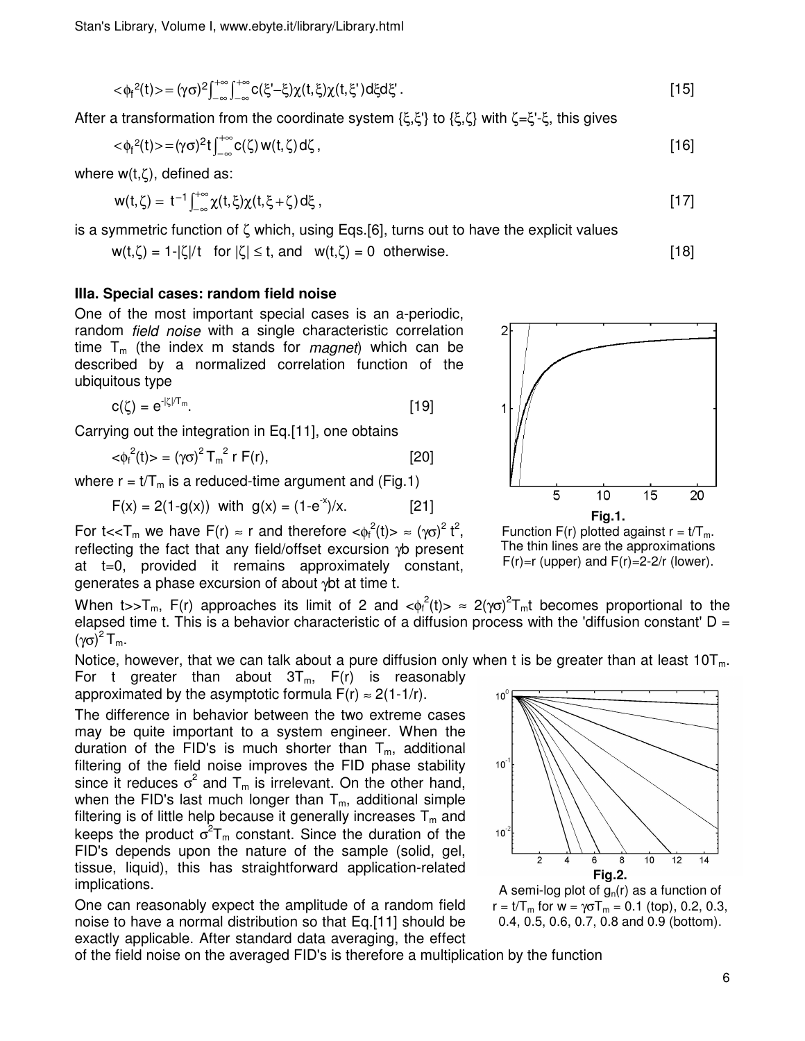$$
\langle \phi_f^2(t) \rangle = (\gamma \sigma)^2 \int_{-\infty}^{+\infty} \int_{-\infty}^{+\infty} c(\xi - \xi) \chi(t, \xi) \chi(t, \xi') d\xi d\xi' . \tag{15}
$$

After a transformation from the coordinate system  $\{\xi,\xi'\}$  to  $\{\xi,\zeta\}$  with  $\zeta=\xi'-\xi$ , this gives

$$
\langle \phi_f^2(t) \rangle = (\gamma \sigma)^2 t \int_{-\infty}^{+\infty} c(\zeta) w(t,\zeta) d\zeta , \qquad [16]
$$

where w(t,ζ), defined as:

$$
w(t,\zeta) = t^{-1}\int_{-\infty}^{+\infty} \chi(t,\xi)\chi(t,\xi+\zeta) d\xi , \qquad [17]
$$

is a symmetric function of ζ which, using Eqs.[6], turns out to have the explicit values

$$
w(t,\zeta) = 1 - |\zeta|/t \quad \text{for } |\zeta| \le t, \text{ and } w(t,\zeta) = 0 \quad \text{otherwise.} \tag{18}
$$

#### **IIIa. Special cases: random field noise**

One of the most important special cases is an a-periodic, random field noise with a single characteristic correlation time  $T_m$  (the index m stands for *magnet*) which can be described by a normalized correlation function of the ubiquitous type

$$
c(\zeta) = e^{-|\zeta|/T_m}.\tag{19}
$$

Carrying out the integration in Eq.[11], one obtains

$$
\langle \phi_f^2(t) \rangle = (\gamma \sigma)^2 T_m^2 r F(r), \qquad [20]
$$

where  $r = t/T_m$  is a reduced-time argument and (Fig.1)

$$
F(x) = 2(1-g(x))
$$
 with  $g(x) = (1-e^{-x})/x$ . [21]

For t<< $T_m$  we have  $F(r) \approx r$  and therefore  $\langle \phi_f^2(t) \rangle \approx (\gamma \sigma)^2 t^2$ , reflecting the fact that any field/offset excursion γb present at t=0, provided it remains approximately constant, generates a phase excursion of about γbt at time t.

When t>>T<sub>m</sub>, F(r) approaches its limit of 2 and < $\phi_f^2(t)$ > ≈ 2( $\gamma \sigma$ )<sup>2</sup>T<sub>m</sub>t becomes proportional to the elapsed time t. This is a behavior characteristic of a diffusion process with the 'diffusion constant'  $D =$ (γσ)<sup>2</sup> T<sub>m</sub>.

Notice, however, that we can talk about a pure diffusion only when t is be greater than at least  $10T<sub>m</sub>$ .

For t greater than about  $3T_m$ ,  $F(r)$  is reasonably approximated by the asymptotic formula  $F(r) \approx 2(1-1/r)$ .

The difference in behavior between the two extreme cases may be quite important to a system engineer. When the duration of the FID's is much shorter than  $T_m$ , additional filtering of the field noise improves the FID phase stability since it reduces  $\sigma^2$  and  $T_m$  is irrelevant. On the other hand, when the FID's last much longer than  $T_m$ , additional simple filtering is of little help because it generally increases  $T_m$  and keeps the product  $\sigma^2 T_m$  constant. Since the duration of the FID's depends upon the nature of the sample (solid, gel, tissue, liquid), this has straightforward application-related implications.

One can reasonably expect the amplitude of a random field noise to have a normal distribution so that Eq.[11] should be exactly applicable. After standard data averaging, the effect

of the field noise on the averaged FID's is therefore a multiplication by the function



Function F(r) plotted against  $r = t/T_m$ . The thin lines are the approximations  $F(r)=r$  (upper) and  $F(r)=2-2/r$  (lower).



A semi-log plot of  $g<sub>n</sub>(r)$  as a function of  $r = t/T_m$  for  $w = \gamma \sigma T_m = 0.1$  (top), 0.2, 0.3, 0.4, 0.5, 0.6, 0.7, 0.8 and 0.9 (bottom).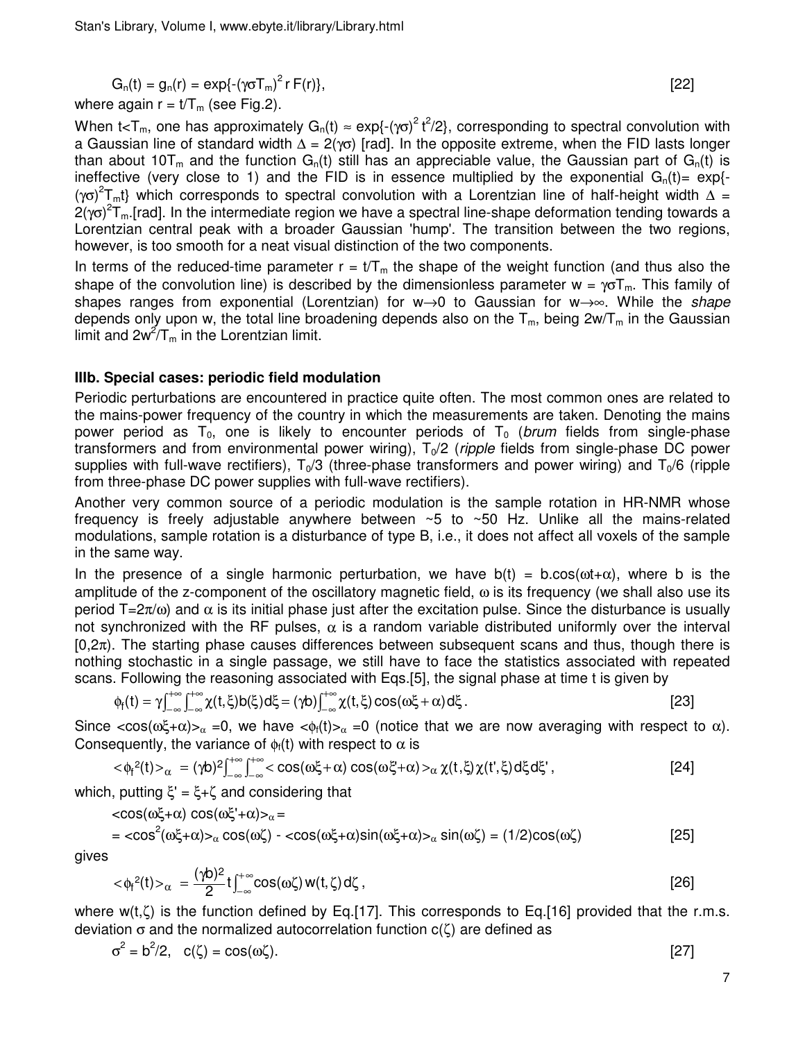$$
G_n(t) = g_n(r) = \exp\{-\left(\gamma \sigma T_m\right)^2 r F(r)\},\tag{22}
$$

where again  $r = t/T_m$  (see Fig.2).

When t<T<sub>m</sub>, one has approximately G<sub>n</sub>(t) ≈ exp{-( $\gamma$ o)<sup>2</sup> t<sup>2</sup>/2}, corresponding to spectral convolution with a Gaussian line of standard width  $\Delta = 2(\gamma \sigma)$  [rad]. In the opposite extreme, when the FID lasts longer than about 10T<sub>m</sub> and the function  $G_n(t)$  still has an appreciable value, the Gaussian part of  $G_n(t)$  is ineffective (very close to 1) and the FID is in essence multiplied by the exponential  $G_n(t)$  = exp{-(γσ)<sup>2</sup>T<sub>m</sub>t} which corresponds to spectral convolution with a Lorentzian line of half-height width  $\Delta$  = 2(γσ)<sup>2</sup>T<sub>m</sub>.[rad]. In the intermediate region we have a spectral line-shape deformation tending towards a Lorentzian central peak with a broader Gaussian 'hump'. The transition between the two regions, however, is too smooth for a neat visual distinction of the two components.

In terms of the reduced-time parameter  $r = t/T_m$  the shape of the weight function (and thus also the shape of the convolution line) is described by the dimensionless parameter  $w = \gamma \sigma T_m$ . This family of shapes ranges from exponential (Lorentzian) for w→0 to Gaussian for w→∞. While the *shape* depends only upon w, the total line broadening depends also on the  $T_m$ , being  $2w/T_m$  in the Gaussian limit and  $2w^2/T_m$  in the Lorentzian limit.

## **IIIb. Special cases: periodic field modulation**

Periodic perturbations are encountered in practice quite often. The most common ones are related to the mains-power frequency of the country in which the measurements are taken. Denoting the mains power period as  $T_0$ , one is likely to encounter periods of  $T_0$  (brum fields from single-phase transformers and from environmental power wiring),  $T<sub>0</sub>/2$  (ripple fields from single-phase DC power supplies with full-wave rectifiers),  $T_0/3$  (three-phase transformers and power wiring) and  $T_0/6$  (ripple from three-phase DC power supplies with full-wave rectifiers).

Another very common source of a periodic modulation is the sample rotation in HR-NMR whose frequency is freely adjustable anywhere between ~5 to ~50 Hz. Unlike all the mains-related modulations, sample rotation is a disturbance of type B, i.e., it does not affect all voxels of the sample in the same way.

In the presence of a single harmonic perturbation, we have  $b(t) = b \cdot cos(\omega t + \alpha)$ , where b is the amplitude of the z-component of the oscillatory magnetic field, ω is its frequency (we shall also use its period  $T=2\pi/\omega$ ) and  $\alpha$  is its initial phase just after the excitation pulse. Since the disturbance is usually not synchronized with the RF pulses,  $\alpha$  is a random variable distributed uniformly over the interval  $[0,2\pi)$ . The starting phase causes differences between subsequent scans and thus, though there is nothing stochastic in a single passage, we still have to face the statistics associated with repeated scans. Following the reasoning associated with Eqs.[5], the signal phase at time t is given by

$$
\phi_f(t) = \gamma \int_{-\infty}^{+\infty} \int_{-\infty}^{+\infty} \chi(t,\xi) b(\xi) d\xi = (\gamma b) \int_{-\infty}^{+\infty} \chi(t,\xi) \cos(\omega\xi + \alpha) d\xi.
$$
 [23]

Since  $\langle cos(\omega \xi + \alpha) \rangle_{\alpha} = 0$ , we have  $\langle \phi_i(t) \rangle_{\alpha} = 0$  (notice that we are now averaging with respect to  $\alpha$ ). Consequently, the variance of  $\phi_f(t)$  with respect to  $\alpha$  is

$$
<\!\varphi_f^2(t)\!\!>_\alpha\ =(\gamma\!b)^2\!\!\int_{-\infty}^{+\infty}\!\!\!\int_{-\infty}^{+\infty}\!\! <\!\cos(\omega\xi+\alpha)\cos(\omega\xi+\alpha)\!\!>_\alpha\chi(t,\xi)\chi(t',\xi)\,d\xi\,d\xi'\,,\eqno[24]
$$

which, putting  $\xi' = \xi + \zeta$  and considering that

$$
\langle \cos(\omega \xi + \alpha) \cos(\omega \xi' + \alpha) \rangle_{\alpha} =
$$
  
=  $\langle \cos^2(\omega \xi + \alpha) \rangle_{\alpha} \cos(\omega \zeta) - \langle \cos(\omega \xi + \alpha) \sin(\omega \xi + \alpha) \rangle_{\alpha} \sin(\omega \zeta) = (1/2)\cos(\omega \zeta)$  [25]

gives

$$
\langle \phi_f^2(t) \rangle_{\alpha} = \frac{(\gamma b)^2}{2} t \int_{-\infty}^{+\infty} \cos(\omega \zeta) w(t, \zeta) d\zeta , \qquad [26]
$$

where  $w(t,\zeta)$  is the function defined by Eq.[17]. This corresponds to Eq.[16] provided that the r.m.s. deviation  $\sigma$  and the normalized autocorrelation function  $c(\zeta)$  are defined as

$$
\sigma^2 = b^2/2, \quad c(\zeta) = \cos(\omega \zeta).
$$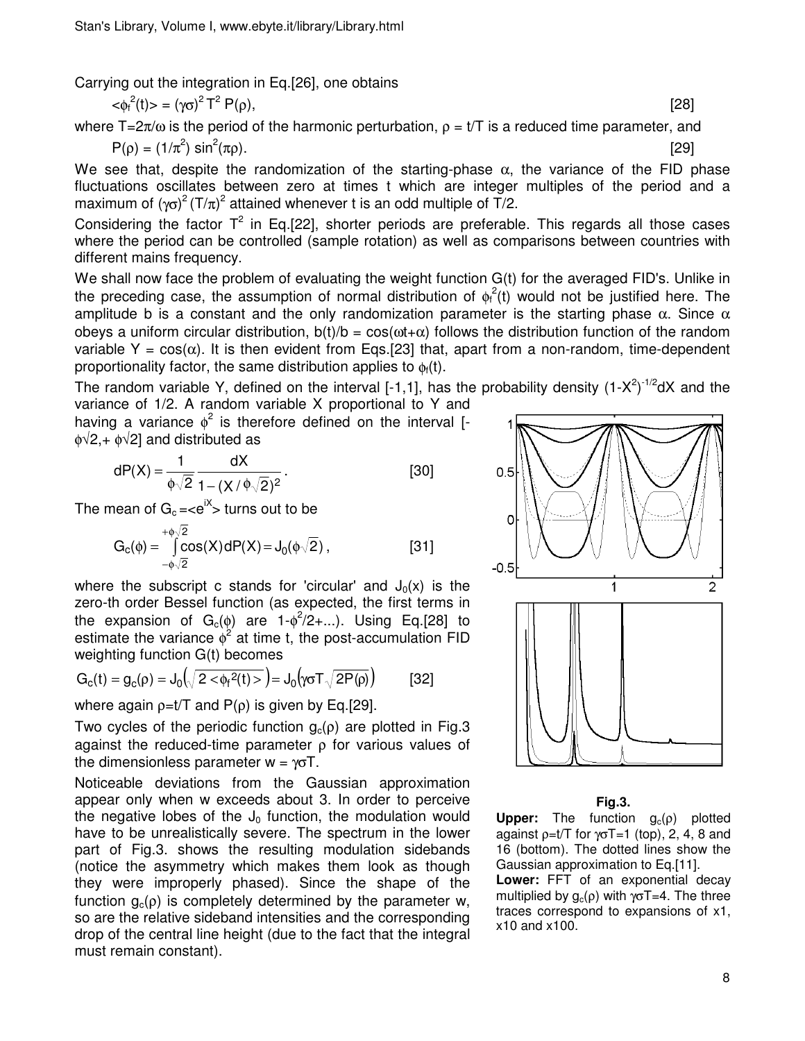Carrying out the integration in Eq.[26], one obtains

$$
\langle \phi_f^2(t) \rangle = (\gamma \sigma)^2 T^2 P(\rho), \tag{28}
$$

where  $T=2\pi/\omega$  is the period of the harmonic perturbation,  $\rho = t/T$  is a reduced time parameter, and

$$
P(\rho) = (1/\pi^2) \sin^2(\pi \rho).
$$
 [29]

We see that, despite the randomization of the starting-phase  $\alpha$ , the variance of the FID phase fluctuations oscillates between zero at times t which are integer multiples of the period and a maximum of ( $\gamma$ σ)<sup>2</sup> (T/ $\pi$ )<sup>2</sup> attained whenever t is an odd multiple of T/2.

Considering the factor  $T^2$  in Eq.[22], shorter periods are preferable. This regards all those cases where the period can be controlled (sample rotation) as well as comparisons between countries with different mains frequency.

We shall now face the problem of evaluating the weight function G(t) for the averaged FID's. Unlike in the preceding case, the assumption of normal distribution of  $\phi_f^2$ (t) would not be justified here. The amplitude b is a constant and the only randomization parameter is the starting phase  $\alpha$ . Since  $\alpha$ obeys a uniform circular distribution,  $b(t)/b = cos(\omega t + \alpha)$  follows the distribution function of the random variable Y =  $cos(\alpha)$ . It is then evident from Eqs. [23] that, apart from a non-random, time-dependent proportionality factor, the same distribution applies to  $\phi_f(t)$ .

The random variable Y, defined on the interval [-1,1], has the probability density  $(1-X^2)^{-1/2}dX$  and the variance of 1/2. A random variable X proportional to Y and

having a variance  $\phi^2$  is therefore defined on the interval [- $\phi\sqrt{2}$ , +  $\phi\sqrt{2}$ ] and distributed as

$$
dP(X) = \frac{1}{\phi\sqrt{2}} \frac{dX}{1 - (X/\phi\sqrt{2})^2}.
$$
 [30]

The mean of  $\mathrm{G}_{\mathrm{c}}$  =<e $^\mathrm{iX}$ > turns out to be

$$
G_c(\phi) = \int_{-\phi\sqrt{2}}^{+\phi\sqrt{2}} cos(X) dP(X) = J_0(\phi\sqrt{2}),
$$
 [31]

where the subscript c stands for 'circular' and  $J_0(x)$  is the zero-th order Bessel function (as expected, the first terms in the expansion of  $G_c(\phi)$  are 1- $\phi^2/2+...$ ). Using Eq.[28] to estimate the variance  $\phi^2$  at time t, the post-accumulation FID weighting function G(t) becomes

$$
G_{c}(t) = g_{c}(\rho) = J_{0}\left(\sqrt{2 \langle \varphi_{f}^{2}(t) \rangle}\right) = J_{0}\left(\gamma \sigma T \sqrt{2 P(\rho)}\right)
$$
 [32]

where again  $\rho=t/T$  and  $P(\rho)$  is given by Eq.[29].

Two cycles of the periodic function  $g_c(\rho)$  are plotted in Fig.3 against the reduced-time parameter ρ for various values of the dimensionless parameter  $w = \gamma \sigma T$ .

Noticeable deviations from the Gaussian approximation appear only when w exceeds about 3. In order to perceive the negative lobes of the  $J_0$  function, the modulation would have to be unrealistically severe. The spectrum in the lower part of Fig.3. shows the resulting modulation sidebands (notice the asymmetry which makes them look as though they were improperly phased). Since the shape of the function  $g_c(\rho)$  is completely determined by the parameter w, so are the relative sideband intensities and the corresponding drop of the central line height (due to the fact that the integral must remain constant).



#### **Fig.3.**

**Upper:** The function  $g_c(\rho)$  plotted against  $p=t/T$  for  $\gamma\sigma T=1$  (top), 2, 4, 8 and 16 (bottom). The dotted lines show the Gaussian approximation to Eq.[11]. **Lower:** FFT of an exponential decay multiplied by  $g_c(\rho)$  with  $\gamma \sigma T = 4$ . The three traces correspond to expansions of x1,

x10 and x100.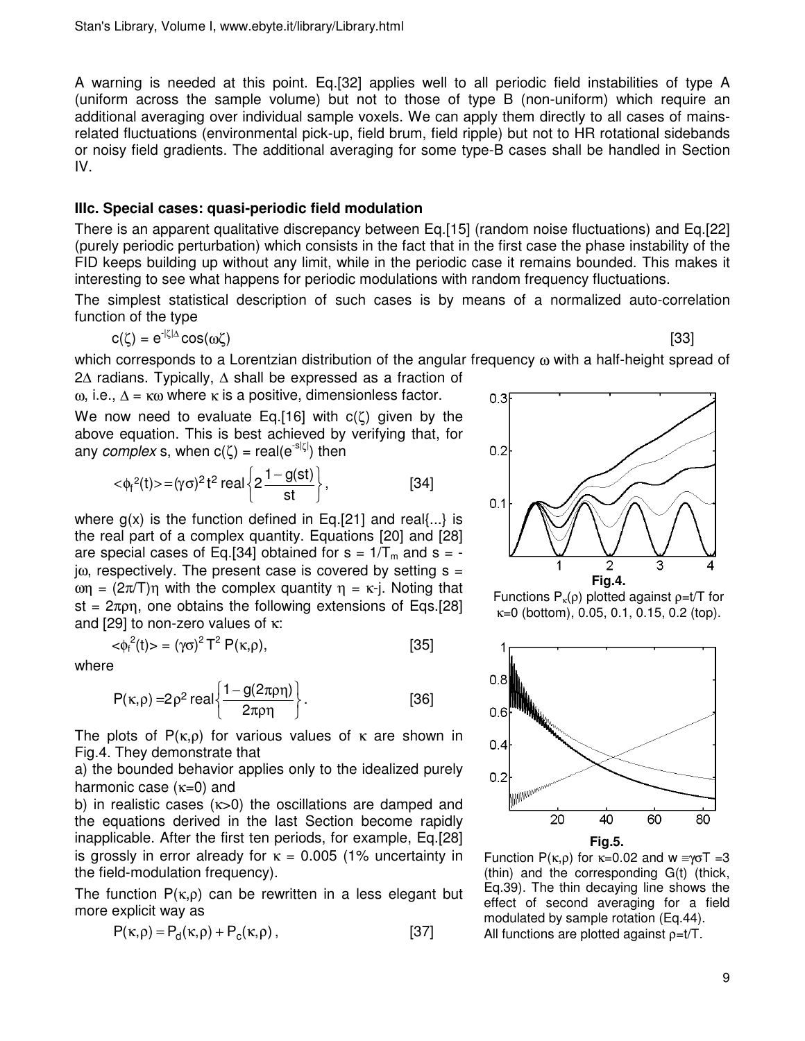A warning is needed at this point. Eq.[32] applies well to all periodic field instabilities of type A (uniform across the sample volume) but not to those of type B (non-uniform) which require an additional averaging over individual sample voxels. We can apply them directly to all cases of mainsrelated fluctuations (environmental pick-up, field brum, field ripple) but not to HR rotational sidebands or noisy field gradients. The additional averaging for some type-B cases shall be handled in Section IV.

## **IIIc. Special cases: quasi-periodic field modulation**

There is an apparent qualitative discrepancy between Eq.[15] (random noise fluctuations) and Eq.[22] (purely periodic perturbation) which consists in the fact that in the first case the phase instability of the FID keeps building up without any limit, while in the periodic case it remains bounded. This makes it interesting to see what happens for periodic modulations with random frequency fluctuations.

The simplest statistical description of such cases is by means of a normalized auto-correlation function of the type

$$
c(\zeta) = e^{-|\zeta|\Delta} \cos(\omega \zeta)
$$
 [33]

which corresponds to a Lorentzian distribution of the angular frequency ω with a half-height spread of 2∆ radians. Typically, ∆ shall be expressed as a fraction of

ω, i.e.,  $Δ = κω$  where κ is a positive, dimensionless factor.

We now need to evaluate Eq.[16] with  $c(\zeta)$  given by the above equation. This is best achieved by verifying that, for any *complex* s, when c(ζ) = real(e<sup>-slζl</sup>) then

$$
\langle \phi_f^2(t) \rangle = (\gamma \sigma)^2 t^2 \text{ real } \left\{ 2 \frac{1 - g(st)}{st} \right\},\tag{34}
$$

where  $g(x)$  is the function defined in Eq.[21] and real $\{...\}$  is the real part of a complex quantity. Equations [20] and [28] are special cases of Eq.[34] obtained for  $s = 1/T_m$  and  $s =$  $j\omega$ , respectively. The present case is covered by setting  $s =$ ωη =  $(2π/T)$ η with the complex quantity η = κ-j. Noting that st =  $2\pi\rho\eta$ , one obtains the following extensions of Eqs.[28] and [29] to non-zero values of κ:

$$
\langle \phi_f^2(t) \rangle = (\gamma \sigma)^2 T^2 P(\kappa, \rho), \qquad [35]
$$

where

$$
P(\kappa,\rho) = 2\rho^2 \text{ real} \left\{ \frac{1 - g(2\pi\rho\eta)}{2\pi\rho\eta} \right\}.
$$
 [36]

The plots of  $P(\kappa,\rho)$  for various values of  $\kappa$  are shown in Fig.4. They demonstrate that

a) the bounded behavior applies only to the idealized purely harmonic case  $(\kappa=0)$  and

b) in realistic cases (κ>0) the oscillations are damped and the equations derived in the last Section become rapidly inapplicable. After the first ten periods, for example, Eq.[28] is grossly in error already for  $\kappa = 0.005$  (1% uncertainty in the field-modulation frequency).

The function  $P(\kappa,\rho)$  can be rewritten in a less elegant but more explicit way as

$$
P(\kappa, \rho) = P_d(\kappa, \rho) + P_c(\kappa, \rho) , \qquad [37]
$$



Functions  $P_k(\rho)$  plotted against  $\rho = t/T$  for  $k=0$  (bottom), 0.05, 0.1, 0.15, 0.2 (top).





Function P(κ,ρ) for  $κ=0.02$  and  $w \equiv \gamma \sigma T = 3$ (thin) and the corresponding G(t) (thick, Eq.39). The thin decaying line shows the effect of second averaging for a field modulated by sample rotation (Eq.44). All functions are plotted against ρ=t/T.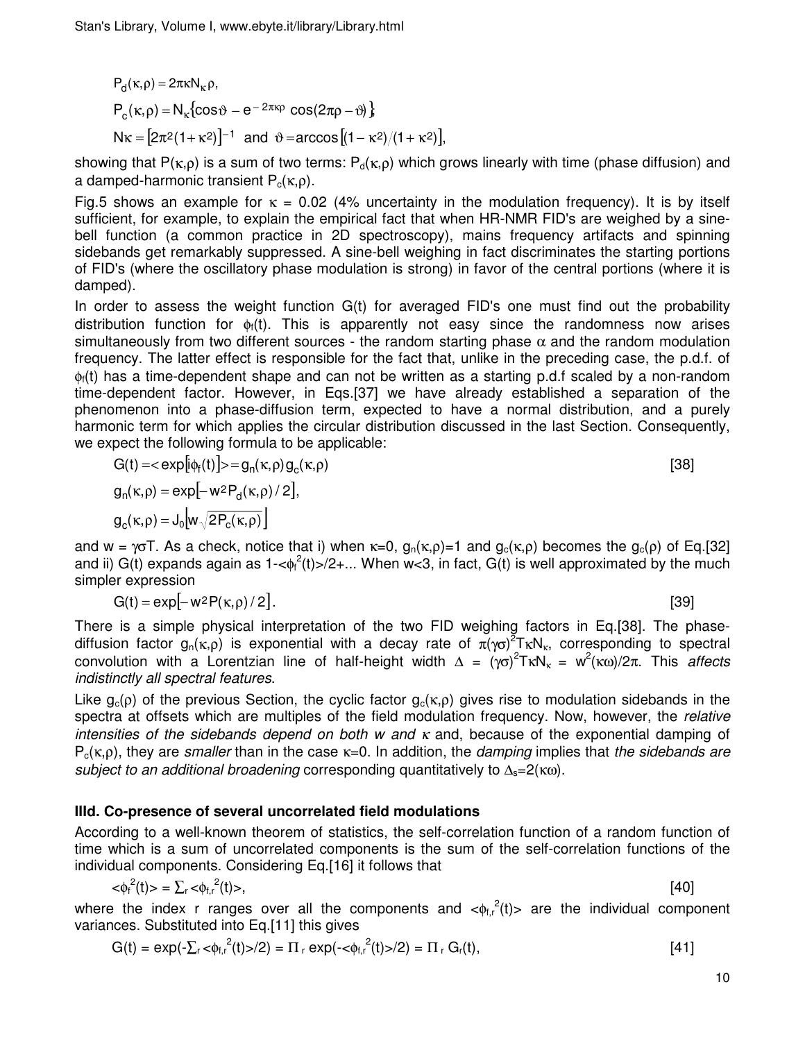$P_d(\kappa, \rho) = 2\pi \kappa N_{\kappa} \rho,$  $P_c(\kappa, \rho) = N_{\kappa} \{ cos \vartheta - e^{-2\pi \kappa \rho} cos(2\pi \rho - \vartheta) \}$  $N \kappa = [2 \pi^2 (1 + \kappa^2)]^{-1}$  and  $\vartheta = \arccos[(1 - \kappa^2)/(1 + \kappa^2)]$ ,

showing that P( $\kappa$ ,ρ) is a sum of two terms:  $P_d(\kappa, \rho)$  which grows linearly with time (phase diffusion) and a damped-harmonic transient  $P_c(\kappa,\rho)$ .

Fig.5 shows an example for  $\kappa = 0.02$  (4% uncertainty in the modulation frequency). It is by itself sufficient, for example, to explain the empirical fact that when HR-NMR FID's are weighed by a sinebell function (a common practice in 2D spectroscopy), mains frequency artifacts and spinning sidebands get remarkably suppressed. A sine-bell weighing in fact discriminates the starting portions of FID's (where the oscillatory phase modulation is strong) in favor of the central portions (where it is damped).

In order to assess the weight function G(t) for averaged FID's one must find out the probability distribution function for  $\phi_f(t)$ . This is apparently not easy since the randomness now arises simultaneously from two different sources - the random starting phase  $\alpha$  and the random modulation frequency. The latter effect is responsible for the fact that, unlike in the preceding case, the p.d.f. of  $\phi_i(t)$  has a time-dependent shape and can not be written as a starting p.d.f scaled by a non-random time-dependent factor. However, in Eqs.[37] we have already established a separation of the phenomenon into a phase-diffusion term, expected to have a normal distribution, and a purely harmonic term for which applies the circular distribution discussed in the last Section. Consequently, we expect the following formula to be applicable:

$$
G(t) = \langle \exp[i\phi_f(t)] \rangle = g_n(\kappa, \rho) g_c(\kappa, \rho)
$$
  
\n
$$
g_n(\kappa, \rho) = \exp[-w^2 P_d(\kappa, \rho)/2],
$$
  
\n
$$
g_c(\kappa, \rho) = J_0 \Big[ w \sqrt{2 P_c(\kappa, \rho)} \Big]
$$
\n(38)

and w =  $\gamma$ σT. As a check, notice that i) when  $\kappa=0$ ,  $g_n(\kappa,\rho)=1$  and  $g_c(\kappa,\rho)$  becomes the  $g_c(\rho)$  of Eq.[32] and ii) G(t) expands again as 1-< $\phi_f^2(t)$ >/2+... When w<3, in fact, G(t) is well approximated by the much simpler expression

$$
G(t) = \exp[-w^2 P(\kappa, \rho)/2].
$$
 [39]

There is a simple physical interpretation of the two FID weighing factors in Eq.[38]. The phasediffusion factor  $g_n(\kappa,\rho)$  is exponential with a decay rate of  $\pi(\gamma\sigma)^2$ TκN<sub>κ</sub>, corresponding to spectral convolution with a Lorentzian line of half-height width  $\Delta = (\gamma \sigma)^2 T \kappa N_k = w^2(\kappa \omega)/2\pi$ . This affects indistinctly all spectral features.

Like  $g_c(\rho)$  of the previous Section, the cyclic factor  $g_c(\kappa,\rho)$  gives rise to modulation sidebands in the spectra at offsets which are multiples of the field modulation frequency. Now, however, the relative intensities of the sidebands depend on both w and  $\kappa$  and, because of the exponential damping of  $P_c(\kappa,\rho)$ , they are smaller than in the case  $\kappa=0$ . In addition, the *damping* implies that the sidebands are subject to an additional broadening corresponding quantitatively to  $\Delta s = 2(\kappa \omega)$ .

# **IIId. Co-presence of several uncorrelated field modulations**

According to a well-known theorem of statistics, the self-correlation function of a random function of time which is a sum of uncorrelated components is the sum of the self-correlation functions of the individual components. Considering Eq.[16] it follows that

$$
\langle \phi_t^2(t) \rangle = \sum_r \langle \phi_{t,r}^2(t) \rangle, \tag{40}
$$

where the index r ranges over all the components and  $\langle \phi_{f,r}^2(t)\rangle$  are the individual component variances. Substituted into Eq.[11] this gives

$$
G(t) = exp(-\sum_{r} <\!\!\varphi_{f,r}^{2}(t) > 2) = \Pi_{r} exp(-<\!\!\varphi_{f,r}^{2}(t) > 2) = \Pi_{r} G_{r}(t), \qquad [41]
$$

$$
\mathbf{10}\,
$$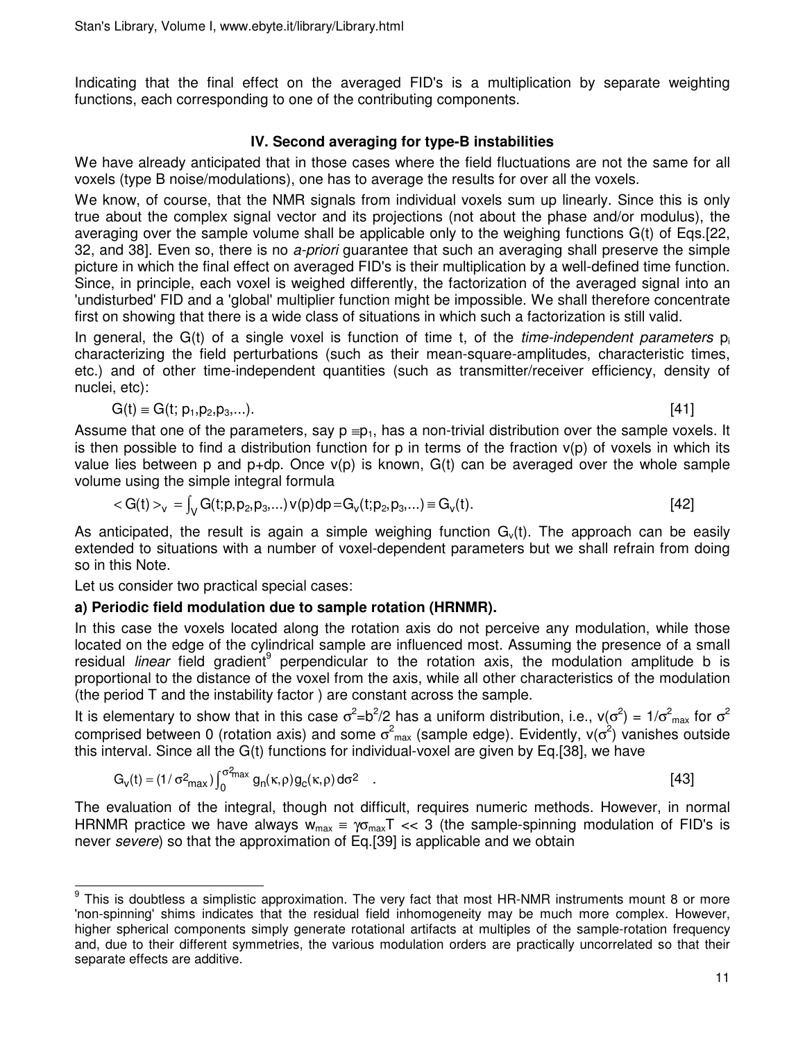Indicating that the final effect on the averaged FID's is a multiplication by separate weighting functions, each corresponding to one of the contributing components.

# **IV. Second averaging for type-B instabilities**

We have already anticipated that in those cases where the field fluctuations are not the same for all voxels (type B noise/modulations), one has to average the results for over all the voxels.

We know, of course, that the NMR signals from individual voxels sum up linearly. Since this is only true about the complex signal vector and its projections (not about the phase and/or modulus), the averaging over the sample volume shall be applicable only to the weighing functions G(t) of Eqs.[22, 32, and 38]. Even so, there is no a-priori guarantee that such an averaging shall preserve the simple picture in which the final effect on averaged FID's is their multiplication by a well-defined time function. Since, in principle, each voxel is weighed differently, the factorization of the averaged signal into an 'undisturbed' FID and a 'global' multiplier function might be impossible. We shall therefore concentrate first on showing that there is a wide class of situations in which such a factorization is still valid.

In general, the  $G(t)$  of a single voxel is function of time t, of the *time-independent parameters*  $p_i$ characterizing the field perturbations (such as their mean-square-amplitudes, characteristic times, etc.) and of other time-independent quantities (such as transmitter/receiver efficiency, density of nuclei, etc):

$$
G(t) \equiv G(t; p_1, p_2, p_3,...). \tag{41}
$$

Assume that one of the parameters, say  $p = p_1$ , has a non-trivial distribution over the sample voxels. It is then possible to find a distribution function for p in terms of the fraction  $v(p)$  of voxels in which its value lies between p and  $p+dp$ . Once  $v(p)$  is known,  $G(t)$  can be averaged over the whole sample volume using the simple integral formula

$$
\langle G(t) \rangle_{v} = \int_{V} G(t; p, p_2, p_3, \ldots) \, v(p) \, dp = G_{v}(t; p_2, p_3, \ldots) \equiv G_{v}(t). \tag{42}
$$

As anticipated, the result is again a simple weighing function  $G<sub>v</sub>(t)$ . The approach can be easily extended to situations with a number of voxel-dependent parameters but we shall refrain from doing so in this Note.

Let us consider two practical special cases:

# **a) Periodic field modulation due to sample rotation (HRNMR).**

In this case the voxels located along the rotation axis do not perceive any modulation, while those located on the edge of the cylindrical sample are influenced most. Assuming the presence of a small residual linear field gradient<sup>9</sup> perpendicular to the rotation axis, the modulation amplitude b is proportional to the distance of the voxel from the axis, while all other characteristics of the modulation (the period T and the instability factor ) are constant across the sample.

It is elementary to show that in this case  $\sigma^2 = b^2/2$  has a uniform distribution, i.e.,  $v(\sigma^2) = 1/\sigma^2$ <sub>max</sub> for  $\sigma^2$ comprised between 0 (rotation axis) and some  $\sigma^2{}_{\rm max}$  (sample edge). Evidently, v( $\sigma^2$ ) vanishes outside this interval. Since all the G(t) functions for individual-voxel are given by Eq.[38], we have

$$
G_v(t) = (1/\sigma^2_{max}) \int_0^{\sigma^2_{max}} g_n(\kappa, \rho) g_c(\kappa, \rho) d\sigma^2
$$
 (43)

The evaluation of the integral, though not difficult, requires numeric methods. However, in normal HRNMR practice we have always  $w_{max} = \gamma \sigma_{max} T \ll 3$  (the sample-spinning modulation of FID's is never severe) so that the approximation of Eq.[39] is applicable and we obtain

This is doubtless a simplistic approximation. The very fact that most HR-NMR instruments mount 8 or more 'non-spinning' shims indicates that the residual field inhomogeneity may be much more complex. However, higher spherical components simply generate rotational artifacts at multiples of the sample-rotation frequency and, due to their different symmetries, the various modulation orders are practically uncorrelated so that their separate effects are additive.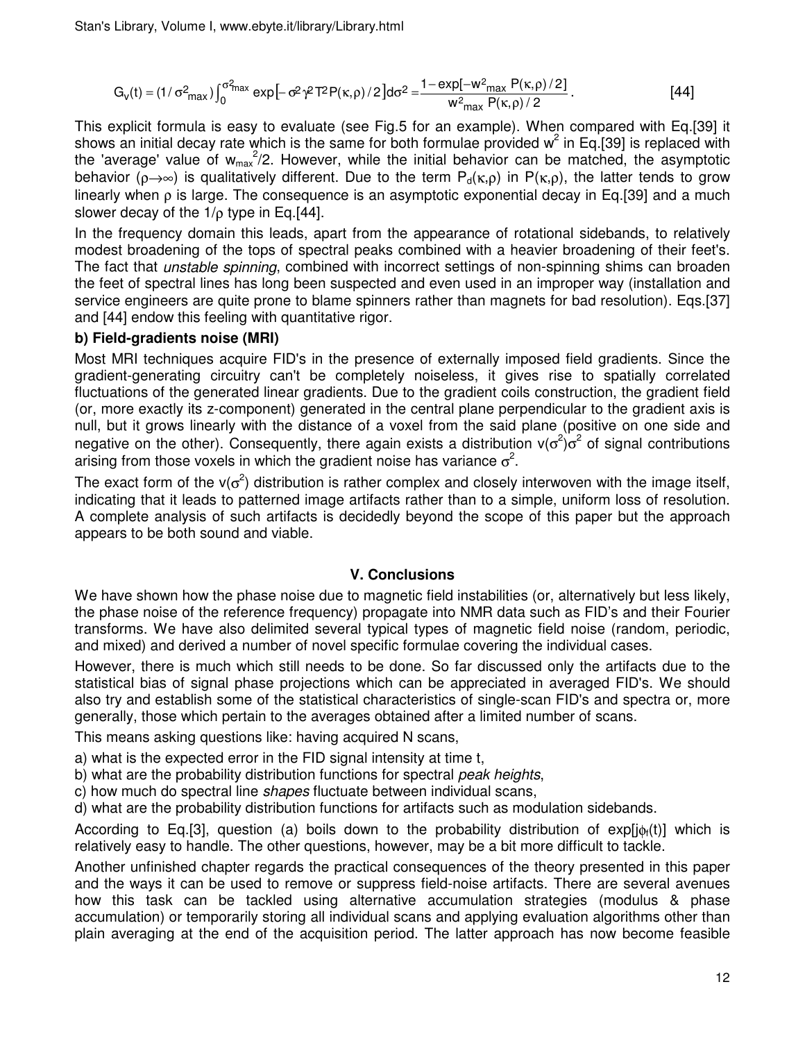$$
G_v(t) = (1/\sigma^2_{max}) \int_0^{\sigma^2_{max}} exp[-\sigma^2 \gamma^2 T^2 P(\kappa, \rho)/2] d\sigma^2 = \frac{1 - exp[-w^2_{max} P(\kappa, \rho)/2]}{w^2_{max} P(\kappa, \rho)/2}.
$$
 [44]

This explicit formula is easy to evaluate (see Fig.5 for an example). When compared with Eq.[39] it shows an initial decay rate which is the same for both formulae provided w<sup>2</sup> in Eq.[39] is replaced with the 'average' value of  $w_{max}^2/2$ . However, while the initial behavior can be matched, the asymptotic behavior ( $\rho \rightarrow \infty$ ) is qualitatively different. Due to the term  $P_d(\kappa,\rho)$  in  $P(\kappa,\rho)$ , the latter tends to grow linearly when  $ρ$  is large. The consequence is an asymptotic exponential decay in Eq.[39] and a much slower decay of the 1/ρ type in Eq.[44].

In the frequency domain this leads, apart from the appearance of rotational sidebands, to relatively modest broadening of the tops of spectral peaks combined with a heavier broadening of their feet's. The fact that *unstable spinning*, combined with incorrect settings of non-spinning shims can broaden the feet of spectral lines has long been suspected and even used in an improper way (installation and service engineers are quite prone to blame spinners rather than magnets for bad resolution). Eqs.[37] and [44] endow this feeling with quantitative rigor.

## **b) Field-gradients noise (MRI)**

Most MRI techniques acquire FID's in the presence of externally imposed field gradients. Since the gradient-generating circuitry can't be completely noiseless, it gives rise to spatially correlated fluctuations of the generated linear gradients. Due to the gradient coils construction, the gradient field (or, more exactly its z-component) generated in the central plane perpendicular to the gradient axis is null, but it grows linearly with the distance of a voxel from the said plane (positive on one side and negative on the other). Consequently, there again exists a distribution  $v(\sigma^2)\sigma^2$  of signal contributions arising from those voxels in which the gradient noise has variance  $\sigma^2$ .

The exact form of the v( $\sigma^2$ ) distribution is rather complex and closely interwoven with the image itself, indicating that it leads to patterned image artifacts rather than to a simple, uniform loss of resolution. A complete analysis of such artifacts is decidedly beyond the scope of this paper but the approach appears to be both sound and viable.

#### **V. Conclusions**

We have shown how the phase noise due to magnetic field instabilities (or, alternatively but less likely, the phase noise of the reference frequency) propagate into NMR data such as FID's and their Fourier transforms. We have also delimited several typical types of magnetic field noise (random, periodic, and mixed) and derived a number of novel specific formulae covering the individual cases.

However, there is much which still needs to be done. So far discussed only the artifacts due to the statistical bias of signal phase projections which can be appreciated in averaged FID's. We should also try and establish some of the statistical characteristics of single-scan FID's and spectra or, more generally, those which pertain to the averages obtained after a limited number of scans.

This means asking questions like: having acquired N scans,

- a) what is the expected error in the FID signal intensity at time t,
- b) what are the probability distribution functions for spectral peak heights,
- c) how much do spectral line shapes fluctuate between individual scans,
- d) what are the probability distribution functions for artifacts such as modulation sidebands.

According to Eq.[3], question (a) boils down to the probability distribution of exp[j $\phi_f(t)$ ] which is relatively easy to handle. The other questions, however, may be a bit more difficult to tackle.

Another unfinished chapter regards the practical consequences of the theory presented in this paper and the ways it can be used to remove or suppress field-noise artifacts. There are several avenues how this task can be tackled using alternative accumulation strategies (modulus & phase accumulation) or temporarily storing all individual scans and applying evaluation algorithms other than plain averaging at the end of the acquisition period. The latter approach has now become feasible